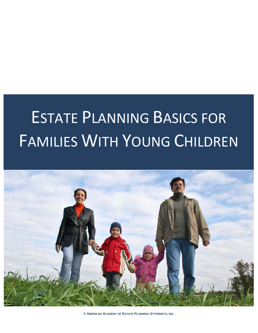# ESTATE PLANNING BASICS FOR FAMILIES WITH YOUNG CHILDREN



**© AMERICAN ACADEMY OF ESTATE PLANNING ATTORNEYS, INC.**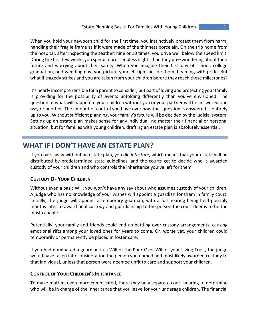When you hold your newborn child for the first time, you instinctively protect them from harm, handling their fragile frame as if it were made of the thinnest porcelain. On the trip home from the hospital, after inspecting the seatbelt nine or 10 times, you drive well below the speed limit. During the first few weeks you spend more sleepless nights than they do—wondering about their future and worrying about their safety. When you imagine their first day of school, college graduation, and wedding day, you picture yourself right beside them, beaming with pride. But what if tragedy strikes and you are taken from your children before they reach these milestones?

It's nearly incomprehensible for a parent to consider, but part of loving and protecting your family is providing for the possibility of events unfolding differently than you've envisioned. The question of what will happen to your children without you or your partner will be answered one way or another. The amount of control you have over how that question is answered is entirely up to you. Without sufficient planning, your family's future will be decided by the judicial system. Setting up an estate plan makes sense for any individual, no matter their financial or personal situation, but for families with young children, drafting an estate plan is absolutely essential.

# **WHAT IF I DON'T HAVE AN ESTATE PLAN?**

If you pass away without an estate plan, you die *intestate*, which means that your estate will be distributed by predetermined state guidelines, and the courts get to decide who is awarded custody of your children and who controls the inheritance you've left for them.

# **CUSTODY OF YOUR CHILDREN**

Without even a basic Will, you won't have any say about who assumes custody of your children. A judge who has no knowledge of your wishes will appoint a guardian for them in family court. Initially, the judge will appoint a temporary guardian, with a full hearing being held possibly months later to award final custody and guardianship to the person the court deems to be the most capable.

Potentially, your family and friends could end up battling over custody arrangements, causing emotional rifts among your loved ones for years to come. Or, worse yet, your children could temporarily or permanently be placed in foster care.

If you had nominated a guardian in a Will or the Pour-Over Will of your Living Trust, the judge would have taken into consideration the person you named and most likely awarded custody to that individual, unless that person were deemed unfit to care and support your children.

## **CONTROL OF YOUR CHILDREN'S INHERITANCE**

To make matters even more complicated, there may be a separate court hearing to determine who will be in charge of the inheritance that you leave for your underage children. The financial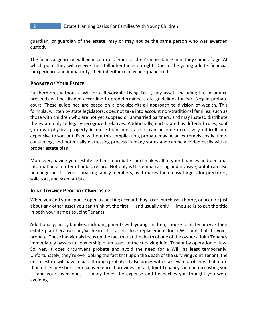guardian, or guardian of the estate, may or may not be the same person who was awarded custody.

The financial guardian will be in control of your children's inheritance until they come of age. At which point they will receive their full inheritance outright. Due to the young adult's financial inexperience and immaturity, their inheritance may be squandered.

## **PROBATE OF YOUR ESTATE**

Furthermore, without a Will or a Revocable Living Trust, any assets including life insurance proceeds will be divided according to predetermined state guidelines for *intestacy* in probate court. These guidelines are based on a one-size-fits-all approach to division of wealth. This formula, written by state legislators, does not take into account non-traditional families, such as those with children who are not yet adopted or unmarried partners, and may instead distribute the estate only to legally-recognized relatives. Additionally, each state has different rules, so if you own physical property in more than one state, it can become excessively difficult and expensive to sort out. Even without this complication, probate may be an extremely costly, timeconsuming, and potentially distressing process in many states and can be avoided easily with a proper estate plan.

Moreover, having your estate settled in probate court makes all of your finances and personal information a matter of public record. Not only is this embarrassing and invasive, but it can also be dangerous for your surviving family members, as it makes them easy targets for predators, solicitors, and scam artists.

## **JOINT TENANCY PROPERTY OWNERSHIP**

When you and your spouse open a checking account, buy a car, purchase a home, or acquire just about any other asset you can think of, the first  $-$  and usually only  $-$  impulse is to put the title in both your names as Joint Tenants.

Additionally, many families, including parents with young children, choose Joint Tenancy as their estate plan because they've heard it is a cost-free replacement for a Will and that it avoids probate. These individuals focus on the fact that at the death of one of the owners, Joint Tenancy immediately passes full ownership of an asset to the surviving Joint Tenant by operation of law. So, yes, it does circumvent probate and avoid the need for a Will, at least temporarily. Unfortunately, they're overlooking the fact that upon the death of the surviving Joint Tenant, the entire estate will have to pass through probate. It also brings with it a slew of problems that more than offset any short-term convenience it provides. In fact, Joint Tenancy can end up costing you  $-$  and your loved ones  $-$  many times the expense and headaches you thought you were avoiding.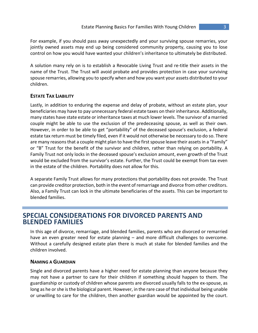For example, if you should pass away unexpectedly and your surviving spouse remarries, your jointly owned assets may end up being considered community property, causing you to lose control on how you would have wanted your children's inheritance to ultimately be distributed.

A solution many rely on is to establish a Revocable Living Trust and re-title their assets in the name of the Trust. The Trust will avoid probate and provides protection in case your surviving spouse remarries, allowing you to specify when and how you want your assets distributed to your children.

## **ESTATE TAX LIABILITY**

Lastly, in addition to enduring the expense and delay of probate, without an estate plan, your beneficiaries may have to pay unnecessary federal estate taxes on their inheritance. Additionally, many states have state estate or inheritance taxes at much lower levels. The survivor of a married couple might be able to use the exclusion of the predeceasing spouse, as well as their own. However, in order to be able to get "portability" of the deceased spouse's exclusion, a federal estate tax return must be timely filed, even if it would not otherwise be necessary to do so. There are many reasons that a couple might plan to have the first spouse leave their assets in a "Family" or "B" Trust for the benefit of the survivor and children, rather than relying on portability. A Family Trust not only locks in the deceased spouse's exclusion amount, even growth of the Trust would be excluded from the survivor's estate. Further, the Trust could be exempt from tax even in the estate of the children. Portability does not allow for this.

A separate Family Trust allows for many protections that portability does not provide. The Trust can provide creditor protection, both in the event of remarriage and divorce from other creditors. Also, a Family Trust can lock in the ultimate beneficiaries of the assets. This can be important to blended families.

# **SPECIAL CONSIDERATIONS FOR DIVORCED PARENTS AND BLENDED FAMILIES**

In this age of divorce, remarriage, and blended families, parents who are divorced or remarried have an even greater need for estate planning – and more difficult challenges to overcome. Without a carefully designed estate plan there is much at stake for blended families and the children involved.

## **NAMING A GUARDIAN**

Single and divorced parents have a higher need for estate planning than anyone because they may not have a partner to care for their children if something should happen to them. The guardianship or custody of children whose parents are divorced usually falls to the ex-spouse, as long as he or she is the biological parent. However, in the rare case of that individual being unable or unwilling to care for the children, then another guardian would be appointed by the court.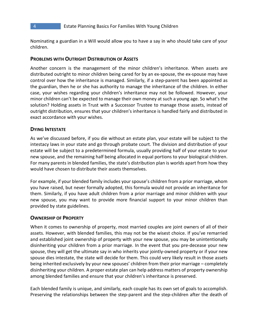Nominating a guardian in a Will would allow you to have a say in who should take care of your children.

#### **PROBLEMS WITH OUTRIGHT DISTRIBUTION OF ASSETS**

Another concern is the management of the minor children's inheritance. When assets are distributed outright to minor children being cared for by an ex-spouse, the ex-spouse may have control over how the inheritance is managed. Similarly, if a step-parent has been appointed as the guardian, then he or she has authority to manage the inheritance of the children. In either case, your wishes regarding your children's inheritance may not be followed. However, your minor children can't be expected to manage their own money at such a young age. So what's the solution? Holding assets in Trust with a Successor Trustee to manage those assets, instead of outright distribution, ensures that your children's inheritance is handled fairly and distributed in exact accordance with your wishes.

#### **DYING INTESTATE**

As we've discussed before, if you die without an estate plan, your estate will be subject to the intestacy laws in your state and go through probate court. The division and distribution of your estate will be subject to a predetermined formula, usually providing half of your estate to your new spouse, and the remaining half being allocated in equal portions to your biological children. For many parents in blended families, the state's distribution plan is worlds apart from how they would have chosen to distribute their assets themselves.

For example, if your blended family includes your spouse's children from a prior marriage, whom you have raised, but never formally adopted, this formula would not provide an inheritance for them. Similarly, if you have adult children from a prior marriage and minor children with your new spouse, you may want to provide more financial support to your minor children than provided by state guidelines.

#### **OWNERSHIP OF PROPERTY**

When it comes to ownership of property, most married couples are joint owners of all of their assets. However, with blended families, this may not be the wisest choice. If you've remarried and established joint ownership of property with your new spouse, you may be unintentionally disinheriting your children from a prior marriage. In the event that you pre-decease your new spouse, they will get the ultimate say in who inherits your jointly-owned property or if your new spouse dies intestate, the state will decide for them. This could very likely result in those assets being inherited exclusively by your new spouses' children from their prior marriage – completely disinheriting your children. A proper estate plan can help address matters of property ownership among blended families and ensure that your children's inheritance is preserved.

Each blended family is unique, and similarly, each couple has its own set of goals to accomplish. Preserving the relationships between the step-parent and the step-children after the death of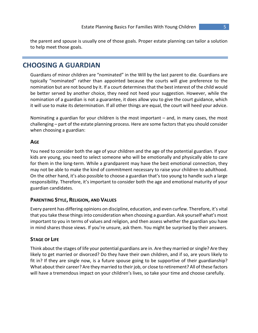the parent and spouse is usually one of those goals. Proper estate planning can tailor a solution to help meet those goals.

# **CHOOSING A GUARDIAN**

Guardians of minor children are "nominated" in the Will by the last parent to die. Guardians are typically "nominated" rather than appointed because the courts will give preference to the nomination but are not bound by it. If a court determines that the best interest of the child would be better served by another choice, they need not heed your suggestion. However, while the nomination of a guardian is not a guarantee, it does allow you to give the court guidance, which it will use to make its determination. If all other things are equal, the court will heed your advice.

Nominating a guardian for your children is the most important – and, in many cases, the most challenging – part of the estate planning process. Here are some factors that you should consider when choosing a guardian:

## **AGE**

You need to consider both the age of your children and the age of the potential guardian. If your kids are young, you need to select someone who will be emotionally and physically able to care for them in the long-term. While a grandparent may have the best emotional connection, they may not be able to make the kind of commitment necessary to raise your children to adulthood. On the other hand, it's also possible to choose a guardian that's too young to handle such a large responsibility. Therefore, it's important to consider both the age and emotional maturity of your guardian candidates.

## **PARENTING STYLE, RELIGION, AND VALUES**

Every parent has differing opinions on discipline, education, and even curfew. Therefore, it's vital that you take these things into consideration when choosing a guardian. Ask yourself what's most important to you in terms of values and religion, and then assess whether the guardian you have in mind shares those views. If you're unsure, ask them. You might be surprised by their answers.

## **STAGE OF LIFE**

Think about the stages of life your potential guardians are in. Are they married or single? Are they likely to get married or divorced? Do they have their own children, and if so, are yours likely to fit in? If they are single now, is a future spouse going to be supportive of their guardianship? What about their career? Are they married to their job, or close to retirement? All of these factors will have a tremendous impact on your children's lives, so take your time and choose carefully.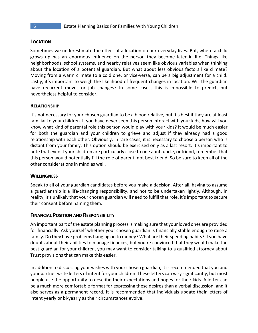#### **LOCATION**

Sometimes we underestimate the effect of a location on our everyday lives. But, where a child grows up has an enormous influence on the person they become later in life. Things like neighborhoods, school systems, and nearby relatives seem like obvious variables when thinking about the location of a potential guardian. But what about less obvious factors like climate? Moving from a warm climate to a cold one, or vice-versa, can be a big adjustment for a child. Lastly, it's important to weigh the likelihood of frequent changes in location. Will the guardian have recurrent moves or job changes? In some cases, this is impossible to predict, but nevertheless helpful to consider.

#### **RELATIONSHIP**

It's not necessary for your chosen guardian to be a blood relative, but it's best if they are at least familiar to your children. If you have never seen this person interact with your kids, how will you know what kind of parental role this person would play with your kids? It would be much easier for both the guardian and your children to grieve and adjust if they already had a good relationship with each other. Obviously, in rare cases, it is necessary to choose a person who is distant from your family. This option should be exercised only as a last resort. It's important to note that even if your children are particularly close to one aunt, uncle, or friend, remember that this person would potentially fill the role of parent, not best friend. So be sure to keep all of the other considerations in mind as well.

#### **WILLINGNESS**

Speak to all of your guardian candidates before you make a decision. After all, having to assume a guardianship is a life-changing responsibility, and not to be undertaken lightly. Although, in reality, it's unlikely that your chosen guardian will need to fulfill that role, it's important to secure their consent before naming them.

#### **FINANCIAL POSITION AND RESPONSIBILITY**

An important part of the estate planning process is making sure that your loved ones are provided for financially. Ask yourself whether your chosen guardian is financially stable enough to raise a family. Do they have problems hanging on to money? What are their spending habits? If you have doubts about their abilities to manage finances, but you're convinced that they would make the best guardian for your children, you may want to consider talking to a qualified attorney about Trust provisions that can make this easier.

In addition to discussing your wishes with your chosen guardian, it is recommended that you and your partner write letters of intent for your children. These letters can vary significantly, but most people use the opportunity to describe their expectations and hopes for their kids. A letter can be a much more comfortable format for expressing these desires than a verbal discussion, and it also serves as a permanent record. It is recommended that individuals update their letters of intent yearly or bi-yearly as their circumstances evolve.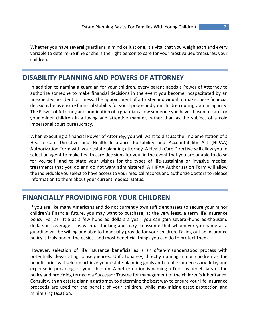Whether you have several guardians in mind or just one, it's vital that you weigh each and every variable to determine if he or she is the right person to care for your most valued treasures: your children.

# **DISABILITY PLANNING AND POWERS OF ATTORNEY**

In addition to naming a guardian for your children, every parent needs a Power of Attorney to authorize someone to make financial decisions in the event you become incapacitated by an unexpected accident or illness. The appointment of a trusted individual to make these financial decisions helps ensure financial stability for your spouse and your children during your incapacity. The Power of Attorney and nomination of a guardian allow someone you have chosen to care for your minor children in a loving and attentive manner, rather than as the subject of a cold impersonal court bureaucracy.

When executing a financial Power of Attorney, you will want to discuss the implementation of a Health Care Directive and Health Insurance Portability and Accountability Act (HIPAA) Authorization Form with your estate planning attorney. A Health Care Directive will allow you to select an agent to make health care decisions for you, in the event that you are unable to do so for yourself, and to state your wishes for the types of life-sustaining or invasive medical treatments that you do and do not want administered. A HIPAA Authorization Form will allow the individuals you select to have access to your medical records and authorize doctors to release information to them about your current medical status.

# **FINANCIALLY PROVIDING FOR YOUR CHILDREN**

If you are like many Americans and do not currently own sufficient assets to secure your minor children's financial future, you may want to purchase, at the very least, a term life insurance policy. For as little as a few hundred dollars a year, you can gain several-hundred-thousand dollars in coverage. It is wishful thinking and risky to assume that whomever you name as a guardian will be willing and able to financially provide for your children. Taking out an insurance policy is truly one of the easiest and most beneficial things you can do to protect them.

However, selection of life insurance beneficiaries is an often-misunderstood process with potentially devastating consequences. Unfortunately, directly naming minor children as the beneficiaries will seldom achieve your estate planning goals and creates unnecessary delay and expense in providing for your children. A better option is naming a Trust as beneficiary of the policy and providing terms to a Successor Trustee for management of the children's inheritance. Consult with an estate planning attorney to determine the best way to ensure your life insurance proceeds are used for the benefit of your children, while maximizing asset protection and minimizing taxation.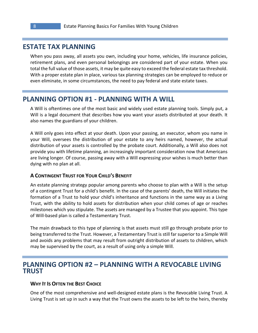# **ESTATE TAX PLANNING**

When you pass away, all assets you own, including your home, vehicles, life insurance policies, retirement plans, and even personal belongings are considered part of your estate. When you total the full value of those assets, it may be quite easy to exceed the federal estate tax threshold. With a proper estate plan in place, various tax planning strategies can be employed to reduce or even eliminate, in some circumstances, the need to pay federal and state estate taxes.

# **PLANNING OPTION #1 - PLANNING WITH A WILL**

A Will is oftentimes one of the most basic and widely used estate planning tools. Simply put, a Will is a legal document that describes how you want your assets distributed at your death. It also names the guardians of your children.

A Will only goes into effect at your death. Upon your passing, an executor, whom you name in your Will, oversees the distribution of your estate to any heirs named, however, the actual distribution of your assets is controlled by the probate court. Additionally, a Will also does not provide you with lifetime planning, an increasingly important consideration now that Americans are living longer. Of course, passing away with a Will expressing your wishes is much better than dying with no plan at all.

#### **A CONTINGENT TRUST FOR YOUR CHILD'S BENEFIT**

An estate planning strategy popular among parents who choose to plan with a Will is the setup of a contingent Trust for a child's benefit. In the case of the parents' death, the Will initiates the formation of a Trust to hold your child's inheritance and functions in the same way as a Living Trust, with the ability to hold assets for distribution when your child comes of age or reaches milestones which you stipulate. The assets are managed by a Trustee that you appoint. This type of Will-based plan is called a Testamentary Trust.

The main drawback to this type of planning is that assets must still go through probate prior to being transferred to the Trust. However, a Testamentary Trust is still far superior to a Simple Will and avoids any problems that may result from outright distribution of assets to children, which may be supervised by the court, as a result of using only a simple Will.

# **PLANNING OPTION #2 – PLANNING WITH A REVOCABLE LIVING TRUST**

#### **WHY IT IS OFTEN THE BEST CHOICE**

One of the most comprehensive and well-designed estate plans is the Revocable Living Trust. A Living Trust is set up in such a way that the Trust owns the assets to be left to the heirs, thereby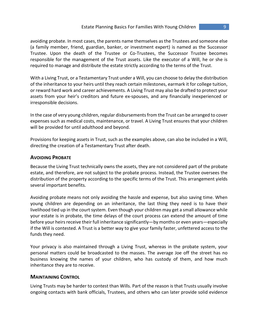avoiding probate. In most cases, the parents name themselves as the Trustees and someone else (a family member, friend, guardian, banker, or investment expert) is named as the Successor Trustee. Upon the death of the Trustee or Co-Trustees, the Successor Trustee becomes responsible for the management of the Trust assets. Like the executor of a Will, he or she is required to manage and distribute the estate strictly according to the terms of the Trust.

With a Living Trust, or a Testamentary Trust under a Will, you can choose to delay the distribution of the inheritance to your heirs until they reach certain milestones, earmark it for college tuition, or reward hard work and career achievements. A Living Trust may also be drafted to protect your assets from your heir's creditors and future ex-spouses, and any financially inexperienced or irresponsible decisions.

In the case of very young children, regular disbursements from the Trust can be arranged to cover expenses such as medical costs, maintenance, or travel. A Living Trust ensures that your children will be provided for until adulthood and beyond.

Provisions for keeping assets in Trust, such as the examples above, can also be included in a Will, directing the creation of a Testamentary Trust after death.

### **AVOIDING PROBATE**

Because the Living Trust technically owns the assets, they are not considered part of the probate estate, and therefore, are not subject to the probate process. Instead, the Trustee oversees the distribution of the property according to the specific terms of the Trust. This arrangement yields several important benefits.

Avoiding probate means not only avoiding the hassle and expense, but also saving time. When young children are depending on an inheritance, the last thing they need is to have their livelihood tied up in the court system. Even though your children may get a small allowance while your estate is in probate, the time delays of the court process can extend the amount of time before your heirs receive their full inheritance significantly—by months or even years—especially if the Will is contested. A Trust is a better way to give your family faster, unfettered access to the funds they need.

Your privacy is also maintained through a Living Trust, whereas in the probate system, your personal matters could be broadcasted to the masses. The average Joe off the street has no business knowing the names of your children, who has custody of them, and how much inheritance they are to receive.

#### **MAINTAINING CONTROL**

Living Trusts may be harder to contest than Wills. Part of the reason is that Trusts usually involve ongoing contacts with bank officials, Trustees, and others who can later provide solid evidence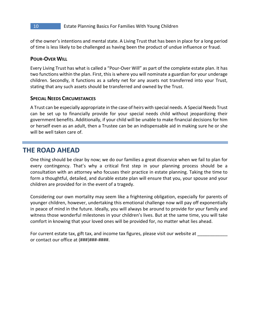of the owner's intentions and mental state. A Living Trust that has been in place for a long period of time is less likely to be challenged as having been the product of undue influence or fraud.

## **POUR-OVER WILL**

Every Living Trust has what is called a "Pour-Over Will" as part of the complete estate plan. It has two functions within the plan. First, this is where you will nominate a guardian for your underage children. Secondly, it functions as a safety net for any assets not transferred into your Trust, stating that any such assets should be transferred and owned by the Trust.

#### **SPECIAL NEEDS CIRCUMSTANCES**

A Trust can be especially appropriate in the case of heirs with special needs. A Special Needs Trust can be set up to financially provide for your special needs child without jeopardizing their government benefits. Additionally, if your child will be unable to make financial decisions for him or herself even as an adult, then a Trustee can be an indispensable aid in making sure he or she will be well taken care of.

# **THE ROAD AHEAD**

One thing should be clear by now; we do our families a great disservice when we fail to plan for every contingency. That's why a critical first step in your planning process should be a consultation with an attorney who focuses their practice in estate planning. Taking the time to form a thoughtful, detailed, and durable estate plan will ensure that you, your spouse and your children are provided for in the event of a tragedy.

Considering our own mortality may seem like a frightening obligation, especially for parents of younger children, however, undertaking this emotional challenge now will pay off exponentially in peace of mind in the future. Ideally, you will always be around to provide for your family and witness those wonderful milestones in your children's lives. But at the same time, you will take comfort in knowing that your loved ones will be provided for, no matter what lies ahead.

For current estate tax, gift tax, and income tax figures, please visit our website at \_\_\_\_\_ or contact our office at (###)###-####.